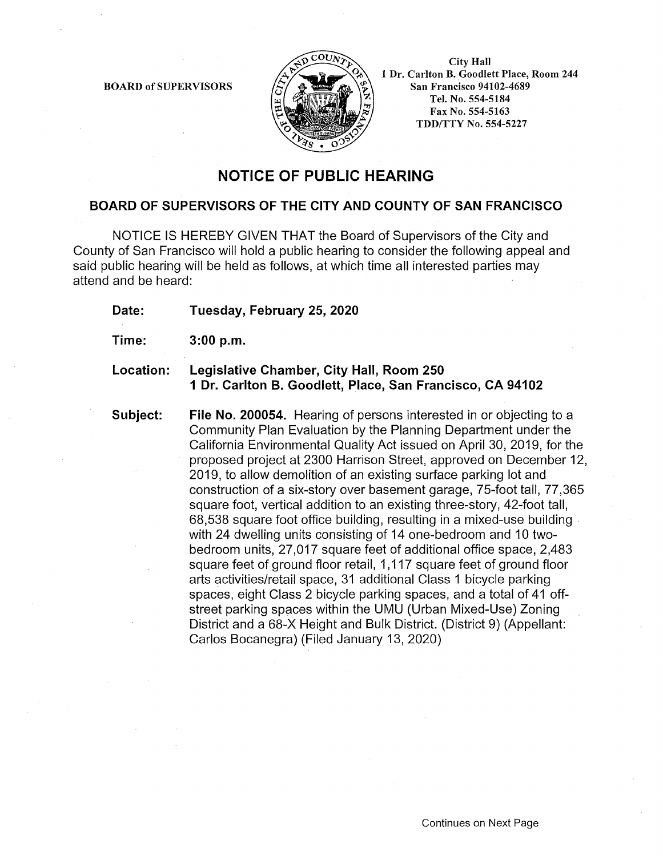BOARD of SUPERVISORS



City Hall 1 Dr. Carlton B. Goodlett Place, Room 244 San Francisco 94102-4689 Tel. No. 554-5184 Fax No. 554-5163 TDD/TTY No. 554-5227

## **NOTICE OF PUBLIC HEARING**

## **BOARD OF SUPERVISORS OF THE CITY AND COUNTY OF SAN FRANCISCO**

NOTICE IS HEREBY GIVEN THAT the Board of Supervisors of the City and County of San Francisco will hold a public hearing to consider the following appeal and said public hearing will be held as follows, at which time all interested parties may attend and be heard:

**Date: Tuesday, February 25, 2020** 

**Time: 3:00 p.m.** 

## **Location: Legislative Chamber, City Hall, Room 250 1 Dr. Carlton B. Goodlett, Place, San Francisco, CA 94102**

**Subject: File No. 200054.** Hearing of persons interested in or objecting to a Community Plan Evaluation by the Planning Department under the California Environmental Quality Act issued on April 30, 2019, for the proposed project at 2300 Harrison Street, approved on December 12, 2019, to allow demolition of an existing surface parking lot and construction of a six-story over basement garage, 75-foot tall, 77,365 square foot, vertical addition to an existing three-story, 42-foot tall, 68,538 square foot office building, resulting in a mixed-use building . with 24 dwelling units consisting of 14 one-bedroom and 10 twobedroom units, 27,017 square feet of additional office space, 2,483 square feet of ground floor retail, 1,117 square feet of ground floor arts activities/retail space, 31 additional Class 1 bicycle parking spaces, eight Class 2 bicycle parking spaces, and a total of 41 offstreet parking spaces within the UMU (Urban Mixed-Use) Zoning District and a 68-X Height and Bulk District. (District 9) (Appellant: Carlos Bocanegra) (Filed January 13, 2020)